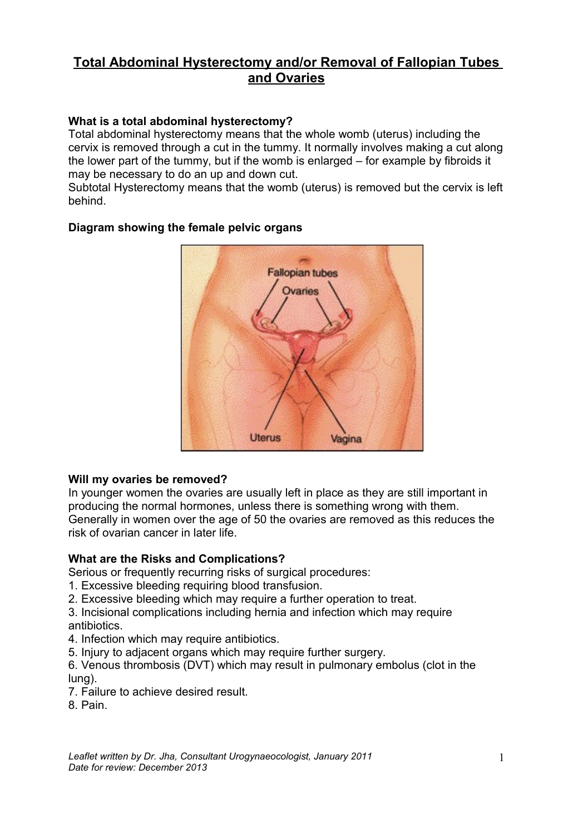# **Total Abdominal Hysterectomy and/or Removal of Fallopian Tubes and Ovaries**

# **What is a total abdominal hysterectomy?**

Total abdominal hysterectomy means that the whole womb (uterus) including the cervix is removed through a cut in the tummy. It normally involves making a cut along the lower part of the tummy, but if the womb is enlarged – for example by fibroids it may be necessary to do an up and down cut.

Subtotal Hysterectomy means that the womb (uterus) is removed but the cervix is left behind.



# **Diagram showing the female pelvic organs**

## **Will my ovaries be removed?**

In younger women the ovaries are usually left in place as they are still important in producing the normal hormones, unless there is something wrong with them. Generally in women over the age of 50 the ovaries are removed as this reduces the risk of ovarian cancer in later life.

# **What are the Risks and Complications?**

Serious or frequently recurring risks of surgical procedures:

- 1. Excessive bleeding requiring blood transfusion.
- 2. Excessive bleeding which may require a further operation to treat.
- 3. Incisional complications including hernia and infection which may require antibiotics.
- 4. Infection which may require antibiotics.
- 5. Injury to adjacent organs which may require further surgery.

6. Venous thrombosis (DVT) which may result in pulmonary embolus (clot in the lung).

- 7. Failure to achieve desired result.
- 8. Pain.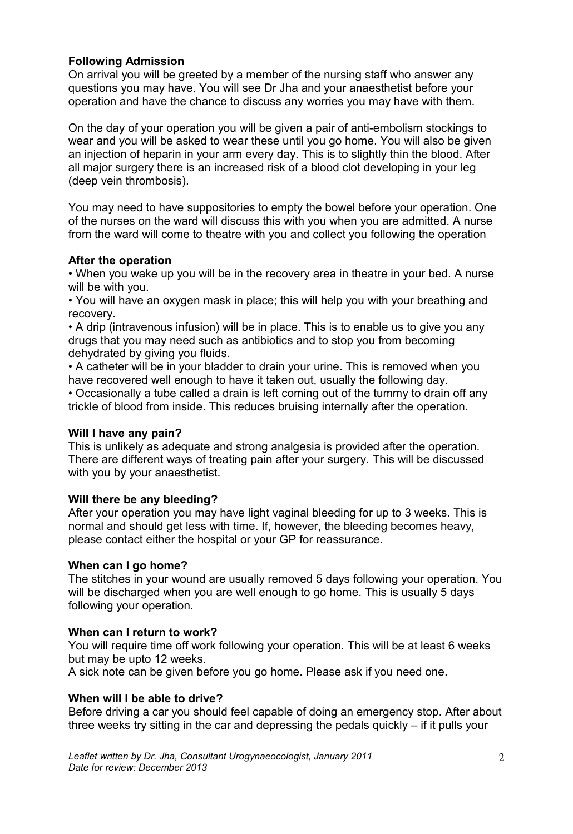## **Following Admission**

On arrival you will be greeted by a member of the nursing staff who answer any questions you may have. You will see Dr Jha and your anaesthetist before your operation and have the chance to discuss any worries you may have with them.

On the day of your operation you will be given a pair of anti-embolism stockings to wear and you will be asked to wear these until you go home. You will also be given an injection of heparin in your arm every day. This is to slightly thin the blood. After all major surgery there is an increased risk of a blood clot developing in your leg (deep vein thrombosis).

You may need to have suppositories to empty the bowel before your operation. One of the nurses on the ward will discuss this with you when you are admitted. A nurse from the ward will come to theatre with you and collect you following the operation

## **After the operation**

• When you wake up you will be in the recovery area in theatre in your bed. A nurse will be with you.

• You will have an oxygen mask in place; this will help you with your breathing and recovery.

• A drip (intravenous infusion) will be in place. This is to enable us to give you any drugs that you may need such as antibiotics and to stop you from becoming dehydrated by giving you fluids.

• A catheter will be in your bladder to drain your urine. This is removed when you have recovered well enough to have it taken out, usually the following day.

• Occasionally a tube called a drain is left coming out of the tummy to drain off any trickle of blood from inside. This reduces bruising internally after the operation.

## **Will I have any pain?**

This is unlikely as adequate and strong analgesia is provided after the operation. There are different ways of treating pain after your surgery. This will be discussed with you by your anaesthetist.

## **Will there be any bleeding?**

After your operation you may have light vaginal bleeding for up to 3 weeks. This is normal and should get less with time. If, however, the bleeding becomes heavy, please contact either the hospital or your GP for reassurance.

#### **When can I go home?**

The stitches in your wound are usually removed 5 days following your operation. You will be discharged when you are well enough to go home. This is usually 5 days following your operation.

## **When can I return to work?**

You will require time off work following your operation. This will be at least 6 weeks but may be upto 12 weeks.

A sick note can be given before you go home. Please ask if you need one.

#### **When will I be able to drive?**

Before driving a car you should feel capable of doing an emergency stop. After about three weeks try sitting in the car and depressing the pedals quickly – if it pulls your